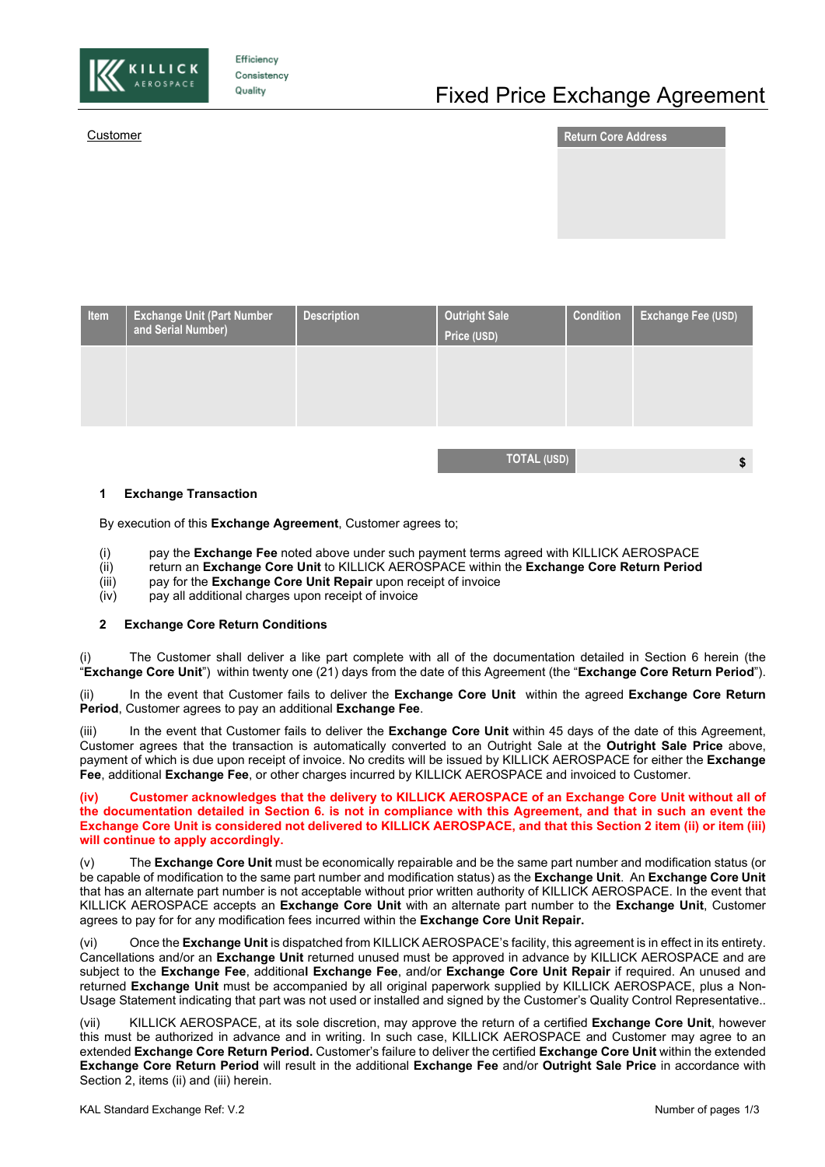

Efficiency Consistency Quality



| Item | <b>Exchange Unit (Part Number</b><br>and Serial Number) | <b>Description</b> | <b>Outright Sale</b><br>Price (USD) | <b>Condition</b> | Exchange Fee (USD) |
|------|---------------------------------------------------------|--------------------|-------------------------------------|------------------|--------------------|
|      |                                                         |                    |                                     |                  |                    |
|      |                                                         |                    |                                     |                  |                    |
|      |                                                         |                    |                                     |                  |                    |

**TOTAL (USD) \$**

## **1 Exchange Transaction**

By execution of this **Exchange Agreement**, Customer agrees to;

- (i) pay the **Exchange Fee** noted above under such payment terms agreed with KILLICK AEROSPACE<br>(ii) return an **Exchange Core Unit** to KILLICK AEROSPACE within the **Exchange Core Return Period**
- (ii) return an **Exchange Core Unit** to KILLICK AEROSPACE within the **Exchange Core Return Period**
- (iii) pay for the **Exchange Core Unit Repair** upon receipt of invoice
- pay all additional charges upon receipt of invoice

## **2 Exchange Core Return Conditions**

The Customer shall deliver a like part complete with all of the documentation detailed in Section 6 herein (the "**Exchange Core Unit**") within twenty one (21) days from the date of this Agreement (the "**Exchange Core Return Period**").

(ii) In the event that Customer fails to deliver the **Exchange Core Unit** within the agreed **Exchange Core Return Period**, Customer agrees to pay an additional **Exchange Fee**.

(iii) In the event that Customer fails to deliver the **Exchange Core Unit** within 45 days of the date of this Agreement, Customer agrees that the transaction is automatically converted to an Outright Sale at the **Outright Sale Price** above, payment of which is due upon receipt of invoice. No credits will be issued by KILLICK AEROSPACE for either the **Exchange Fee**, additional **Exchange Fee**, or other charges incurred by KILLICK AEROSPACE and invoiced to Customer.

**(iv) Customer acknowledges that the delivery to KILLICK AEROSPACE of an Exchange Core Unit without all of the documentation detailed in Section 6. is not in compliance with this Agreement, and that in such an event the Exchange Core Unit is considered not delivered to KILLICK AEROSPACE, and that this Section 2 item (ii) or item (iii) will continue to apply accordingly.**

(v) The **Exchange Core Unit** must be economically repairable and be the same part number and modification status (or be capable of modification to the same part number and modification status) as the **Exchange Unit**. An **Exchange Core Unit** that has an alternate part number is not acceptable without prior written authority of KILLICK AEROSPACE. In the event that KILLICK AEROSPACE accepts an **Exchange Core Unit** with an alternate part number to the **Exchange Unit**, Customer agrees to pay for for any modification fees incurred within the **Exchange Core Unit Repair.**

(vi) Once the **Exchange Unit** is dispatched from KILLICK AEROSPACE's facility, this agreement is in effect in its entirety. Cancellations and/or an **Exchange Unit** returned unused must be approved in advance by KILLICK AEROSPACE and are subject to the **Exchange Fee**, additiona**l Exchange Fee**, and/or **Exchange Core Unit Repair** if required. An unused and returned **Exchange Unit** must be accompanied by all original paperwork supplied by KILLICK AEROSPACE, plus a Non-Usage Statement indicating that part was not used or installed and signed by the Customer's Quality Control Representative..

(vii) KILLICK AEROSPACE, at its sole discretion, may approve the return of a certified **Exchange Core Unit**, however this must be authorized in advance and in writing. In such case, KILLICK AEROSPACE and Customer may agree to an extended **Exchange Core Return Period.** Customer's failure to deliver the certified **Exchange Core Unit** within the extended **Exchange Core Return Period** will result in the additional **Exchange Fee** and/or **Outright Sale Price** in accordance with Section 2, items (ii) and (iii) herein.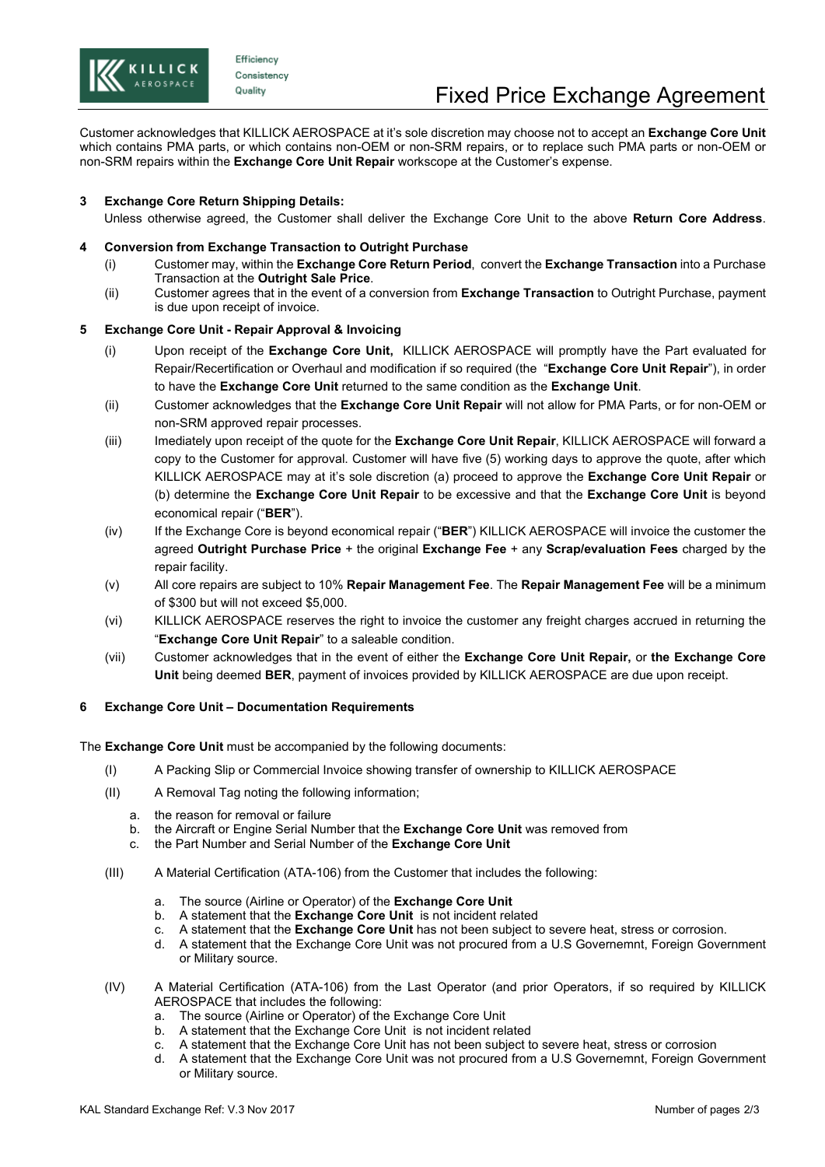

Efficiency Consistency Quality

Customer acknowledges that KILLICK AEROSPACE at it's sole discretion may choose not to accept an **Exchange Core Unit** which contains PMA parts, or which contains non-OEM or non-SRM repairs, or to replace such PMA parts or non-OEM or non-SRM repairs within the **Exchange Core Unit Repair** workscope at the Customer's expense.

# **3 Exchange Core Return Shipping Details:**

Unless otherwise agreed, the Customer shall deliver the Exchange Core Unit to the above **Return Core Address**.

# **4 Conversion from Exchange Transaction to Outright Purchase**

- (i) Customer may, within the **Exchange Core Return Period**, convert the **Exchange Transaction** into a Purchase Transaction at the **Outright Sale Price**.
- (ii) Customer agrees that in the event of a conversion from **Exchange Transaction** to Outright Purchase, payment is due upon receipt of invoice.

# **5 Exchange Core Unit - Repair Approval & Invoicing**

- (i) Upon receipt of the **Exchange Core Unit,** KILLICK AEROSPACE will promptly have the Part evaluated for Repair/Recertification or Overhaul and modification if so required (the "**Exchange Core Unit Repair**"), in order to have the **Exchange Core Unit** returned to the same condition as the **Exchange Unit**.
- (ii) Customer acknowledges that the **Exchange Core Unit Repair** will not allow for PMA Parts, or for non-OEM or non-SRM approved repair processes.
- (iii) Imediately upon receipt of the quote for the **Exchange Core Unit Repair**, KILLICK AEROSPACE will forward a copy to the Customer for approval. Customer will have five (5) working days to approve the quote, after which KILLICK AEROSPACE may at it's sole discretion (a) proceed to approve the **Exchange Core Unit Repair** or (b) determine the **Exchange Core Unit Repair** to be excessive and that the **Exchange Core Unit** is beyond economical repair ("**BER**").
- (iv) If the Exchange Core is beyond economical repair ("**BER**") KILLICK AEROSPACE will invoice the customer the agreed **Outright Purchase Price** + the original **Exchange Fee** + any **Scrap/evaluation Fees** charged by the repair facility.
- (v) All core repairs are subject to 10% **Repair Management Fee**. The **Repair Management Fee** will be a minimum of \$300 but will not exceed \$5,000.
- (vi) KILLICK AEROSPACE reserves the right to invoice the customer any freight charges accrued in returning the "**Exchange Core Unit Repair**" to a saleable condition.
- (vii) Customer acknowledges that in the event of either the **Exchange Core Unit Repair,** or **the Exchange Core Unit** being deemed **BER**, payment of invoices provided by KILLICK AEROSPACE are due upon receipt.

# **6 Exchange Core Unit – Documentation Requirements**

The **Exchange Core Unit** must be accompanied by the following documents:

- (I) A Packing Slip or Commercial Invoice showing transfer of ownership to KILLICK AEROSPACE
- (II) A Removal Tag noting the following information;
	- a. the reason for removal or failure
	- b. the Aircraft or Engine Serial Number that the **Exchange Core Unit** was removed from
	- c. the Part Number and Serial Number of the **Exchange Core Unit**
- (III) A Material Certification (ATA-106) from the Customer that includes the following:
	- a. The source (Airline or Operator) of the **Exchange Core Unit**
	- b. A statement that the **Exchange Core Unit** is not incident related
	- c. A statement that the **Exchange Core Unit** has not been subject to severe heat, stress or corrosion.
	- d. A statement that the Exchange Core Unit was not procured from a U.S Governemnt, Foreign Government or Military source.
- (IV) A Material Certification (ATA-106) from the Last Operator (and prior Operators, if so required by KILLICK AEROSPACE that includes the following:
	- a. The source (Airline or Operator) of the Exchange Core Unit
	- b. A statement that the Exchange Core Unit is not incident related
	- c. A statement that the Exchange Core Unit has not been subject to severe heat, stress or corrosion
	- d. A statement that the Exchange Core Unit was not procured from a U.S Governemnt, Foreign Government or Military source.